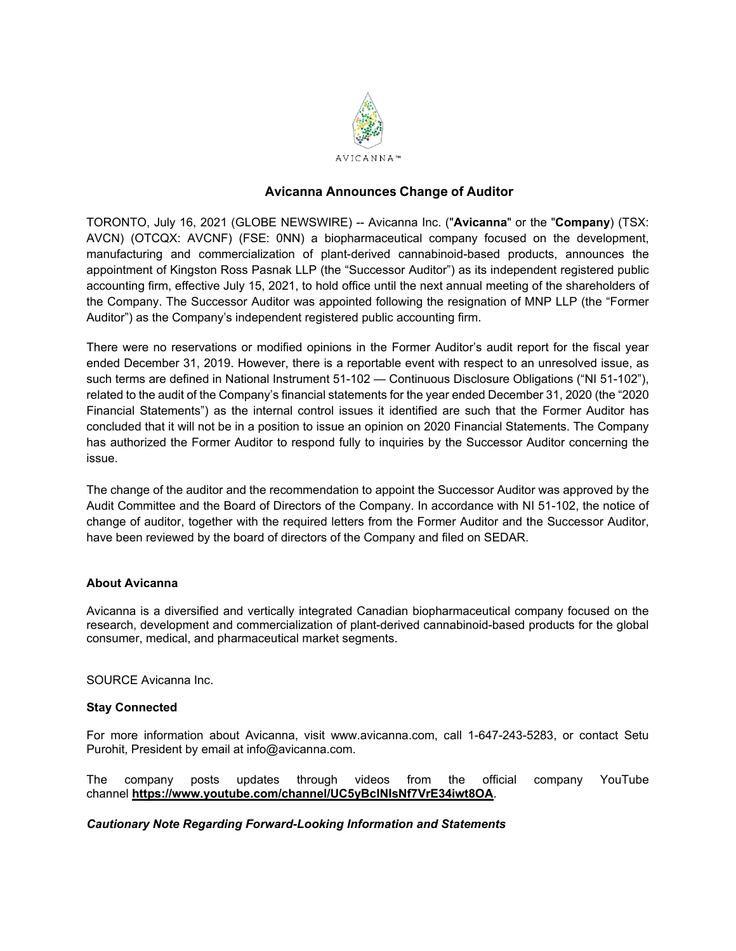

# **Avicanna Announces Change of Auditor**

TORONTO, July 16, 2021 (GLOBE NEWSWIRE) -- Avicanna Inc. ("**Avicanna**" or the "**Company**) (TSX: AVCN) (OTCQX: AVCNF) (FSE: 0NN) a biopharmaceutical company focused on the development, manufacturing and commercialization of plant-derived cannabinoid-based products, announces the appointment of Kingston Ross Pasnak LLP (the "Successor Auditor") as its independent registered public accounting firm, effective July 15, 2021, to hold office until the next annual meeting of the shareholders of the Company. The Successor Auditor was appointed following the resignation of MNP LLP (the "Former Auditor") as the Company's independent registered public accounting firm.

There were no reservations or modified opinions in the Former Auditor's audit report for the fiscal year ended December 31, 2019. However, there is a reportable event with respect to an unresolved issue, as such terms are defined in National Instrument 51-102 — Continuous Disclosure Obligations ("NI 51-102"), related to the audit of the Company's financial statements for the year ended December 31, 2020 (the "2020 Financial Statements") as the internal control issues it identified are such that the Former Auditor has concluded that it will not be in a position to issue an opinion on 2020 Financial Statements. The Company has authorized the Former Auditor to respond fully to inquiries by the Successor Auditor concerning the issue.

The change of the auditor and the recommendation to appoint the Successor Auditor was approved by the Audit Committee and the Board of Directors of the Company. In accordance with NI 51-102, the notice of change of auditor, together with the required letters from the Former Auditor and the Successor Auditor, have been reviewed by the board of directors of the Company and filed on SEDAR.

## **About Avicanna**

Avicanna is a diversified and vertically integrated Canadian biopharmaceutical company focused on the research, development and commercialization of plant-derived cannabinoid-based products for the global consumer, medical, and pharmaceutical market segments.

## SOURCE Avicanna Inc.

## **Stay Connected**

For more information about Avicanna, visit www.avicanna.com, call 1-647-243-5283, or contact Setu Purohit, President by email at info@avicanna.com.

The company posts updates through videos from the official company YouTube channel **[https://www.youtube.com/channel/UC5yBclNIsNf7VrE34iwt8OA](https://www.globenewswire.com/Tracker?data=Yc3ZROMyC7QpAY2_KXLCl2Rec6EZZXWfb9_EvDgjLIDN27Jkx10sicNV_dugNWMgLftrCb6wrsgWkK8OAEgXNuX_zhu4duEMDe7bw02Cu7iZOHH5e3oXvisxdofSRHuGYFLhQGT3CfOQLB4QDagBho3ogO-xLj2R6sDuxHTpBXYRSGJhYv7z8EeHge_VzRGw)**.

## *Cautionary Note Regarding Forward-Looking Information and Statements*